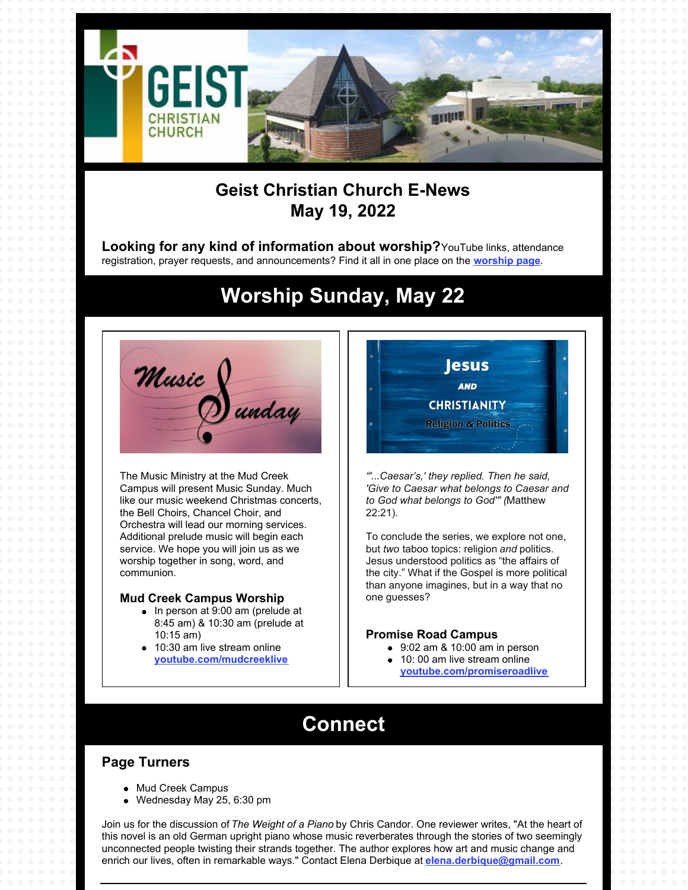

### **Geist Christian Church E-News May 19, 2022**

**Looking for any kind of information about worship?**YouTube links, attendance registration, prayer requests, and announcements? Find it all in one place on the **[worship](https://geistchristian.org/worship-at-geist-christian-church/) page**.

# **Worship Sunday, May 22**



The Music Ministry at the Mud Creek Campus will present Music Sunday. Much like our music weekend Christmas concerts, the Bell Choirs, Chancel Choir, and Orchestra will lead our morning services. Additional prelude music will begin each service. We hope you will join us as we worship together in song, word, and communion.

#### **Mud Creek Campus Worship**

- $\bullet$  In person at 9:00 am (prelude at 8:45 am) & 10:30 am (prelude at 10:15 am)
- 10:30 am live stream online **[youtube.com/mudcreeklive](https://www.youtube.com/mudcreeklive)**



*"'...Caesar's,' they replied. Then he said, 'Give to Caesar what belongs to Caesar and to God what belongs to God'" (*Matthew 22:21).

To conclude the series, we explore not one, but *two* taboo topics: religion *and* politics. Jesus understood politics as "the affairs of the city." What if the Gospel is more political than anyone imagines, but in a way that no one guesses?

#### **Promise Road Campus**

- 9:02 am & 10:00 am in person
- 10: 00 am live stream online
- **[youtube.com/promiseroadlive](http://youtube.com/promiseroadlive)**

## **Connect**

### **Page Turners**

- Mud Creek Campus
- $\bullet$ Wednesday May 25, 6:30 pm

Join us for the discussion of *The Weight of a Piano* by Chris Candor. One reviewer writes, "At the heart of this novel is an old German upright piano whose music reverberates through the stories of two seemingly unconnected people twisting their strands together. The author explores how art and music change and enrich our lives, often in remarkable ways." Contact Elena Derbique at **[elena.derbique@gmail.com](mailto:elena.derbique@gmail.com)**.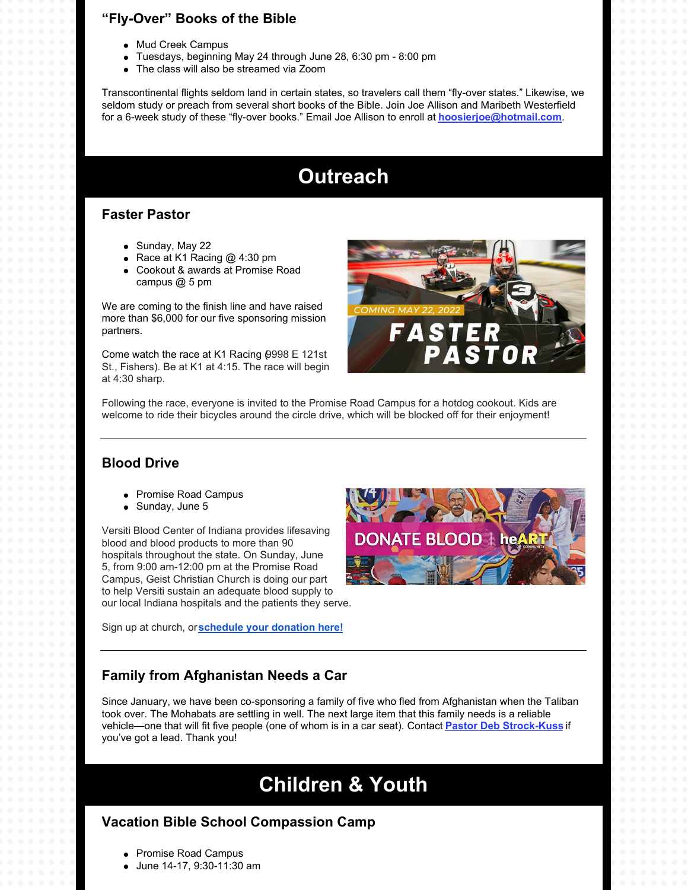### **"Fly-Over" Books of the Bible**

- Mud Creek Campus
- Tuesdays, beginning May 24 through June 28, 6:30 pm 8:00 pm
- The class will also be streamed via Zoom

Transcontinental flights seldom land in certain states, so travelers call them "fly-over states." Likewise, we seldom study or preach from several short books of the Bible. Join Joe Allison and Maribeth Westerfield for a 6-week study of these "fly-over books." Email Joe Allison to enroll at **[hoosierjoe@hotmail.com](mailto:hoosierjoe@hotmail.com)**.

# **Outreach**

#### **Faster Pastor**

- Sunday, May 22
- Race at K1 Racing  $@$  4:30 pm
- Cookout & awards at Promise Road campus @ 5 pm

We are coming to the finish line and have raised more than \$6,000 for our five sponsoring mission partners.

Come watch the race at K1 Racing (9998 E 121st St., Fishers). Be at K1 at 4:15. The race will begin at 4:30 sharp.



Following the race, everyone is invited to the Promise Road Campus for a hotdog cookout. Kids are welcome to ride their bicycles around the circle drive, which will be blocked off for their enjoyment!

#### **Blood Drive**

- Promise Road Campus
- Sunday, June 5

Versiti Blood Center of Indiana provides lifesaving blood and blood products to more than 90 hospitals throughout the state. On Sunday, June 5, from 9:00 am-12:00 pm at the Promise Road Campus, Geist Christian Church is doing our part to help Versiti sustain an adequate blood supply to our local Indiana hospitals and the patients they serve.

Sign up at church, or**[schedule](https://donate.indiana.versiti.org/donor/schedules/drive_schedule/154605) your donation here!**



#### **Family from Afghanistan Needs a Car**

Since January, we have been co-sponsoring a family of five who fled from Afghanistan when the Taliban took over. The Mohabats are settling in well. The next large item that this family needs is a reliable vehicle—one that will fit five people (one of whom is in a car seat). Contact **Pastor Deb [Strock-Kuss](mailto:deb.strock-kuss@geistchristian.org)** if you've got a lead. Thank you!

# **Children & Youth**

### **Vacation Bible School Compassion Camp**

- Promise Road Campus
- June 14-17, 9:30-11:30 am